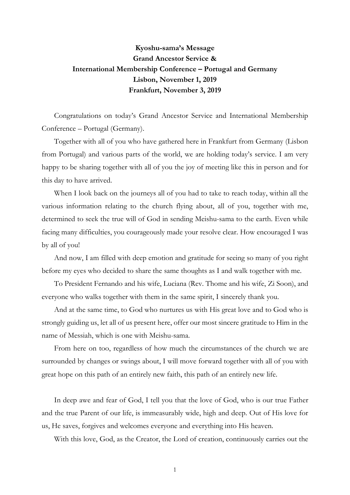## Kyoshu-sama's Message Grand Ancestor Service & International Membership Conference – Portugal and Germany Lisbon, November 1, 2019 Frankfurt, November 3, 2019

Congratulations on today's Grand Ancestor Service and International Membership Conference – Portugal (Germany).

Together with all of you who have gathered here in Frankfurt from Germany (Lisbon from Portugal) and various parts of the world, we are holding today's service. I am very happy to be sharing together with all of you the joy of meeting like this in person and for this day to have arrived.

When I look back on the journeys all of you had to take to reach today, within all the various information relating to the church flying about, all of you, together with me, determined to seek the true will of God in sending Meishu-sama to the earth. Even while facing many difficulties, you courageously made your resolve clear. How encouraged I was by all of you!

And now, I am filled with deep emotion and gratitude for seeing so many of you right before my eyes who decided to share the same thoughts as I and walk together with me.

To President Fernando and his wife, Luciana (Rev. Thome and his wife, Zi Soon), and everyone who walks together with them in the same spirit, I sincerely thank you.

And at the same time, to God who nurtures us with His great love and to God who is strongly guiding us, let all of us present here, offer our most sincere gratitude to Him in the name of Messiah, which is one with Meishu-sama.

From here on too, regardless of how much the circumstances of the church we are surrounded by changes or swings about, I will move forward together with all of you with great hope on this path of an entirely new faith, this path of an entirely new life.

In deep awe and fear of God, I tell you that the love of God, who is our true Father and the true Parent of our life, is immeasurably wide, high and deep. Out of His love for us, He saves, forgives and welcomes everyone and everything into His heaven.

With this love, God, as the Creator, the Lord of creation, continuously carries out the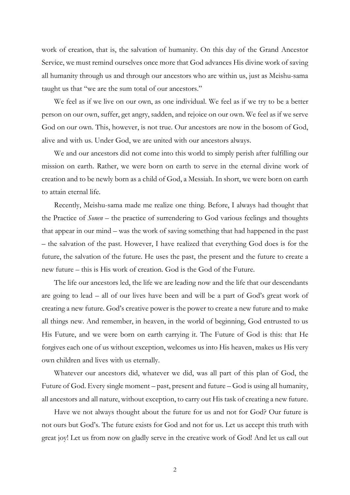work of creation, that is, the salvation of humanity. On this day of the Grand Ancestor Service, we must remind ourselves once more that God advances His divine work of saving all humanity through us and through our ancestors who are within us, just as Meishu-sama taught us that "we are the sum total of our ancestors."

 We feel as if we live on our own, as one individual. We feel as if we try to be a better person on our own, suffer, get angry, sadden, and rejoice on our own. We feel as if we serve God on our own. This, however, is not true. Our ancestors are now in the bosom of God, alive and with us. Under God, we are united with our ancestors always.

 We and our ancestors did not come into this world to simply perish after fulfilling our mission on earth. Rather, we were born on earth to serve in the eternal divine work of creation and to be newly born as a child of God, a Messiah. In short, we were born on earth to attain eternal life.

 Recently, Meishu-sama made me realize one thing. Before, I always had thought that the Practice of Sonen – the practice of surrendering to God various feelings and thoughts that appear in our mind – was the work of saving something that had happened in the past – the salvation of the past. However, I have realized that everything God does is for the future, the salvation of the future. He uses the past, the present and the future to create a new future – this is His work of creation. God is the God of the Future.

The life our ancestors led, the life we are leading now and the life that our descendants are going to lead – all of our lives have been and will be a part of God's great work of creating a new future. God's creative power is the power to create a new future and to make all things new. And remember, in heaven, in the world of beginning, God entrusted to us His Future, and we were born on earth carrying it. The Future of God is this: that He forgives each one of us without exception, welcomes us into His heaven, makes us His very own children and lives with us eternally.

Whatever our ancestors did, whatever we did, was all part of this plan of God, the Future of God. Every single moment – past, present and future – God is using all humanity, all ancestors and all nature, without exception, to carry out His task of creating a new future.

Have we not always thought about the future for us and not for God? Our future is not ours but God's. The future exists for God and not for us. Let us accept this truth with great joy! Let us from now on gladly serve in the creative work of God! And let us call out